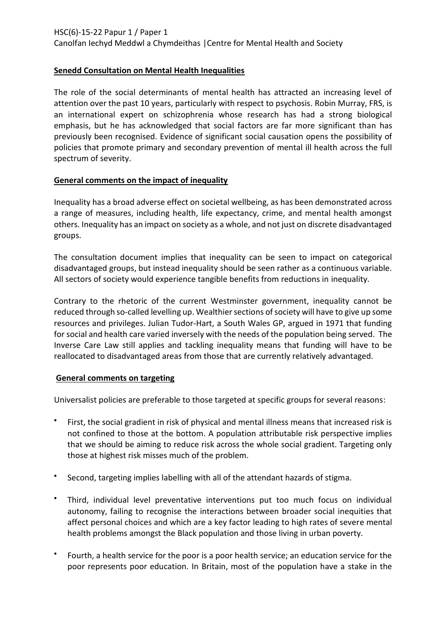HSC(6)-15-22 Papur 1 / Paper 1

Canolfan Iechyd Meddwl a Chymdeithas |Centre for Mental Health and Society

# **Senedd Consultation on Mental Health Inequalities**

The role of the social determinants of mental health has attracted an increasing level of attention over the past 10 years, particularly with respect to psychosis. Robin Murray, FRS, is an international expert on schizophrenia whose research has had a strong biological emphasis, but he has acknowledged that social factors are far more significant than has previously been recognised. Evidence of significant social causation opens the possibility of policies that promote primary and secondary prevention of mental ill health across the full spectrum of severity.

### **General comments on the impact of inequality**

Inequality has a broad adverse effect on societal wellbeing, as has been demonstrated across a range of measures, including health, life expectancy, crime, and mental health amongst others. Inequality has an impact on society as a whole, and not just on discrete disadvantaged groups.

The consultation document implies that inequality can be seen to impact on categorical disadvantaged groups, but instead inequality should be seen rather as a continuous variable. All sectors of society would experience tangible benefits from reductions in inequality.

Contrary to the rhetoric of the current Westminster government, inequality cannot be reduced through so-called levelling up. Wealthier sections of society will have to give up some resources and privileges. Julian Tudor-Hart, a South Wales GP, argued in 1971 that funding for social and health care varied inversely with the needs of the population being served. The Inverse Care Law still applies and tackling inequality means that funding will have to be reallocated to disadvantaged areas from those that are currently relatively advantaged.

### **General comments on targeting**

Universalist policies are preferable to those targeted at specific groups for several reasons:

- First, the social gradient in risk of physical and mental illness means that increased risk is not confined to those at the bottom. A population attributable risk perspective implies that we should be aiming to reduce risk across the whole social gradient. Targeting only those at highest risk misses much of the problem.
- Second, targeting implies labelling with all of the attendant hazards of stigma.
- Third, individual level preventative interventions put too much focus on individual autonomy, failing to recognise the interactions between broader social inequities that affect personal choices and which are a key factor leading to high rates of severe mental health problems amongst the Black population and those living in urban poverty.
- Fourth, a health service for the poor is a poor health service; an education service for the poor represents poor education. In Britain, most of the population have a stake in the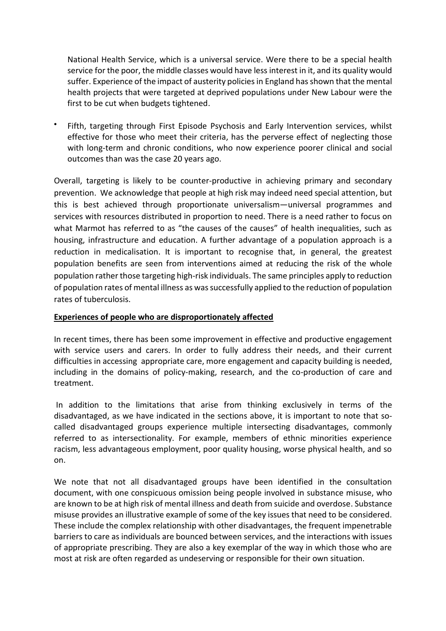National Health Service, which is a universal service. Were there to be a special health service for the poor, the middle classes would have less interest in it, and its quality would suffer. Experience of the impact of austerity policies in England has shown that the mental health projects that were targeted at deprived populations under New Labour were the first to be cut when budgets tightened.

\* Fifth, targeting through First Episode Psychosis and Early Intervention services, whilst effective for those who meet their criteria, has the perverse effect of neglecting those with long-term and chronic conditions, who now experience poorer clinical and social outcomes than was the case 20 years ago.

Overall, targeting is likely to be counter-productive in achieving primary and secondary prevention. We acknowledge that people at high risk may indeed need special attention, but this is best achieved through proportionate universalism—universal programmes and services with resources distributed in proportion to need. There is a need rather to focus on what Marmot has referred to as "the causes of the causes" of health inequalities, such as housing, infrastructure and education. A further advantage of a population approach is a reduction in medicalisation. It is important to recognise that, in general, the greatest population benefits are seen from interventions aimed at reducing the risk of the whole population rather those targeting high-risk individuals. The same principles apply to reduction of population rates of mental illness as was successfully applied to the reduction of population rates of tuberculosis.

## **Experiences of people who are disproportionately affected**

In recent times, there has been some improvement in effective and productive engagement with service users and carers. In order to fully address their needs, and their current difficulties in accessing appropriate care, more engagement and capacity building is needed, including in the domains of policy-making, research, and the co-production of care and treatment.

In addition to the limitations that arise from thinking exclusively in terms of the disadvantaged, as we have indicated in the sections above, it is important to note that socalled disadvantaged groups experience multiple intersecting disadvantages, commonly referred to as intersectionality. For example, members of ethnic minorities experience racism, less advantageous employment, poor quality housing, worse physical health, and so on.

We note that not all disadvantaged groups have been identified in the consultation document, with one conspicuous omission being people involved in substance misuse, who are known to be at high risk of mental illness and death from suicide and overdose. Substance misuse provides an illustrative example of some of the key issues that need to be considered. These include the complex relationship with other disadvantages, the frequent impenetrable barriers to care as individuals are bounced between services, and the interactions with issues of appropriate prescribing. They are also a key exemplar of the way in which those who are most at risk are often regarded as undeserving or responsible for their own situation.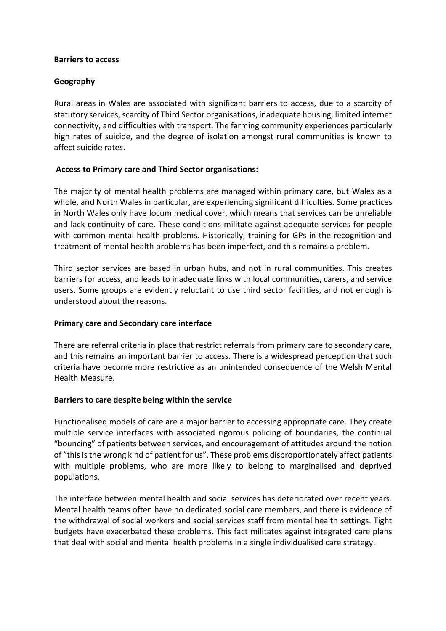### **Barriers to access**

## **Geography**

Rural areas in Wales are associated with significant barriers to access, due to a scarcity of statutory services, scarcity of Third Sector organisations, inadequate housing, limited internet connectivity, and difficulties with transport. The farming community experiences particularly high rates of suicide, and the degree of isolation amongst rural communities is known to affect suicide rates.

# **Access to Primary care and Third Sector organisations:**

The majority of mental health problems are managed within primary care, but Wales as a whole, and North Wales in particular, are experiencing significant difficulties. Some practices in North Wales only have locum medical cover, which means that services can be unreliable and lack continuity of care. These conditions militate against adequate services for people with common mental health problems. Historically, training for GPs in the recognition and treatment of mental health problems has been imperfect, and this remains a problem.

Third sector services are based in urban hubs, and not in rural communities. This creates barriers for access, and leads to inadequate links with local communities, carers, and service users. Some groups are evidently reluctant to use third sector facilities, and not enough is understood about the reasons.

# **Primary care and Secondary care interface**

There are referral criteria in place that restrict referrals from primary care to secondary care, and this remains an important barrier to access. There is a widespread perception that such criteria have become more restrictive as an unintended consequence of the Welsh Mental Health Measure.

### **Barriers to care despite being within the service**

Functionalised models of care are a major barrier to accessing appropriate care. They create multiple service interfaces with associated rigorous policing of boundaries, the continual "bouncing" of patients between services, and encouragement of attitudes around the notion of "this is the wrong kind of patient for us". These problems disproportionately affect patients with multiple problems, who are more likely to belong to marginalised and deprived populations.

The interface between mental health and social services has deteriorated over recent years. Mental health teams often have no dedicated social care members, and there is evidence of the withdrawal of social workers and social services staff from mental health settings. Tight budgets have exacerbated these problems. This fact militates against integrated care plans that deal with social and mental health problems in a single individualised care strategy.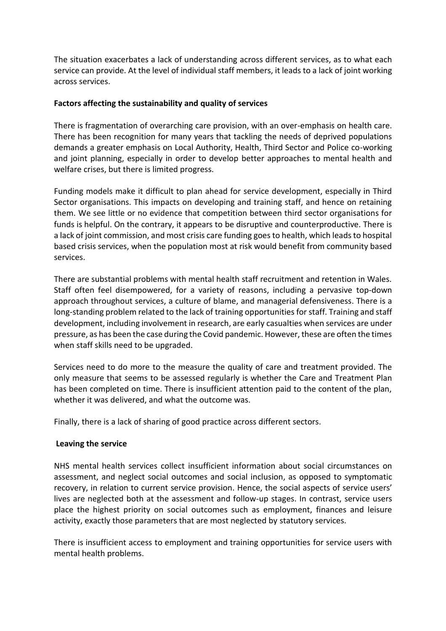The situation exacerbates a lack of understanding across different services, as to what each service can provide. At the level of individual staff members, it leads to a lack of joint working across services.

## **Factors affecting the sustainability and quality of services**

There is fragmentation of overarching care provision, with an over-emphasis on health care. There has been recognition for many years that tackling the needs of deprived populations demands a greater emphasis on Local Authority, Health, Third Sector and Police co-working and joint planning, especially in order to develop better approaches to mental health and welfare crises, but there is limited progress.

Funding models make it difficult to plan ahead for service development, especially in Third Sector organisations. This impacts on developing and training staff, and hence on retaining them. We see little or no evidence that competition between third sector organisations for funds is helpful. On the contrary, it appears to be disruptive and counterproductive. There is a lack of joint commission, and most crisis care funding goes to health, which leads to hospital based crisis services, when the population most at risk would benefit from community based services.

There are substantial problems with mental health staff recruitment and retention in Wales. Staff often feel disempowered, for a variety of reasons, including a pervasive top-down approach throughout services, a culture of blame, and managerial defensiveness. There is a long-standing problem related to the lack of training opportunities for staff. Training and staff development, including involvement in research, are early casualties when services are under pressure, as has been the case during the Covid pandemic. However, these are often the times when staff skills need to be upgraded.

Services need to do more to the measure the quality of care and treatment provided. The only measure that seems to be assessed regularly is whether the Care and Treatment Plan has been completed on time. There is insufficient attention paid to the content of the plan, whether it was delivered, and what the outcome was.

Finally, there is a lack of sharing of good practice across different sectors.

# **Leaving the service**

NHS mental health services collect insufficient information about social circumstances on assessment, and neglect social outcomes and social inclusion, as opposed to symptomatic recovery, in relation to current service provision. Hence, the social aspects of service users' lives are neglected both at the assessment and follow-up stages. In contrast, service users place the highest priority on social outcomes such as employment, finances and leisure activity, exactly those parameters that are most neglected by statutory services.

There is insufficient access to employment and training opportunities for service users with mental health problems.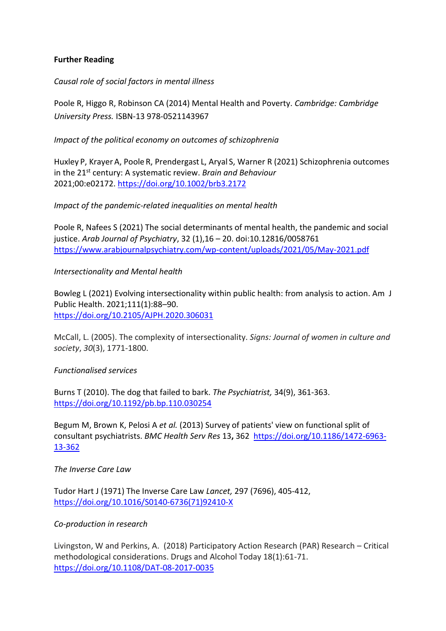# **Further Reading**

*Causal role of social factors in mental illness*

Poole R, Higgo R, Robinson CA (2014) Mental Health and Poverty. *Cambridge: Cambridge University Press.* ISBN-13 978-0521143967

*Impact of the political economy on outcomes of schizophrenia*

Huxley P, Krayer A, Poole R, Prendergast L, Aryal S, Warner R (2021) Schizophrenia outcomes in the 21st century: A systematic review. *Brain and Behaviour* 2021;00:e02172.<https://doi.org/10.1002/brb3.2172>

### *Impact of the pandemic-related inequalities on mental health*

Poole R, Nafees S (2021) The social determinants of mental health, the pandemic and social justice. *Arab Journal of Psychiatry*, 32 (1),16 – 20. doi:10.12816/0058761 <https://www.arabjournalpsychiatry.com/wp-content/uploads/2021/05/May-2021.pdf>

### *Intersectionality and Mental health*

Bowleg L (2021) Evolving intersectionality within public health: from analysis to action. Am J Public Health. 2021;111(1):88–90. <https://doi.org/10.2105/AJPH.2020.306031>

McCall, L. (2005). The complexity of intersectionality. *Signs: Journal of women in culture and society*, *30*(3), 1771-1800.

### *Functionalised services*

Burns T (2010). The dog that failed to bark. *The Psychiatrist,* 34(9), 361-363. <https://doi.org/10.1192/pb.bp.110.030254>

Begum M, Brown K, Pelosi A *et al.* (2013) Survey of patients' view on functional split of consultant psychiatrists. *BMC Health Serv Res* 13**,** 362 [https://doi.org/10.1186/1472-6963-](https://doi.org/10.1186/1472-6963-13-362) [13-362](https://doi.org/10.1186/1472-6963-13-362)

*The Inverse Care Law*

Tudor Hart J (1971) The Inverse Care Law *Lancet,* 297 (7696), 405-412, [https://doi.org/10.1016/S0140-6736\(71\)92410-X](https://doi.org/10.1016/S0140-6736(71)92410-X)

### *Co-production in research*

Livingston, W and Perkins, A. (2018) Participatory Action Research (PAR) Research – Critical methodological considerations. Drugs and Alcohol Today 18(1):61-71. <https://doi.org/10.1108/DAT-08-2017-0035>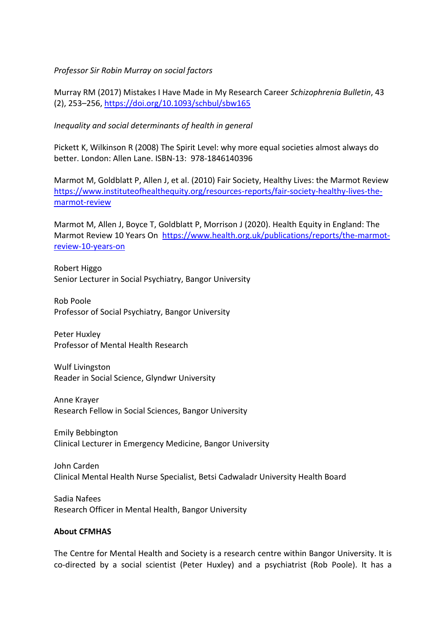### *Professor Sir Robin Murray on social factors*

Murray RM (2017) Mistakes I Have Made in My Research Career *Schizophrenia Bulletin*, 43 (2), 253–256,<https://doi.org/10.1093/schbul/sbw165>

*Inequality and social determinants of health in general*

Pickett K, Wilkinson R (2008) The Spirit Level: why more equal societies almost always do better. London: Allen Lane. ISBN-13: 978-1846140396

Marmot M, Goldblatt P, Allen J, et al. (2010) Fair Society, Healthy Lives: the Marmot Review [https://www.instituteofhealthequity.org/resources-reports/fair-society-healthy-lives-the](https://www.instituteofhealthequity.org/resources-reports/fair-society-healthy-lives-the-marmot-review)[marmot-review](https://www.instituteofhealthequity.org/resources-reports/fair-society-healthy-lives-the-marmot-review)

Marmot M, Allen J, Boyce T, Goldblatt P, Morrison J (2020). Health Equity in England: The Marmot Review 10 Years On [https://www.health.org.uk/publications/reports/the-marmot](https://www.health.org.uk/publications/reports/the-marmot-review-10-years-on)[review-10-years-on](https://www.health.org.uk/publications/reports/the-marmot-review-10-years-on)

Robert Higgo Senior Lecturer in Social Psychiatry, Bangor University

Rob Poole Professor of Social Psychiatry, Bangor University

Peter Huxley Professor of Mental Health Research

Wulf Livingston Reader in Social Science, Glyndwr University

Anne Krayer Research Fellow in Social Sciences, Bangor University

Emily Bebbington Clinical Lecturer in Emergency Medicine, Bangor University

John Carden Clinical Mental Health Nurse Specialist, Betsi Cadwaladr University Health Board

Sadia Nafees Research Officer in Mental Health, Bangor University

### **About CFMHAS**

The Centre for Mental Health and Society is a research centre within Bangor University. It is co-directed by a social scientist (Peter Huxley) and a psychiatrist (Rob Poole). It has a